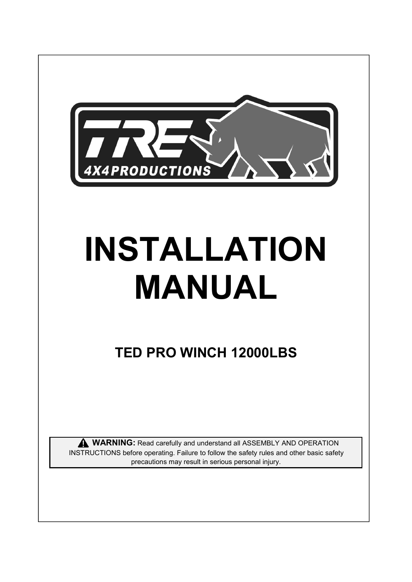

# **INSTALLATION MANUAL**

# **TED PRO WINCH 12000LBS**

**WARNING:** Read carefully and understand all ASSEMBLY AND OPERATION INSTRUCTIONS before operating. Failure to follow the safety rules and other basic safety precautions may result in serious personal injury.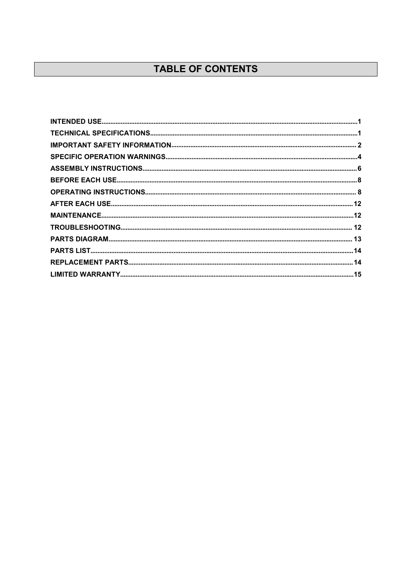## TABLE OF CONTENTS

<span id="page-1-0"></span>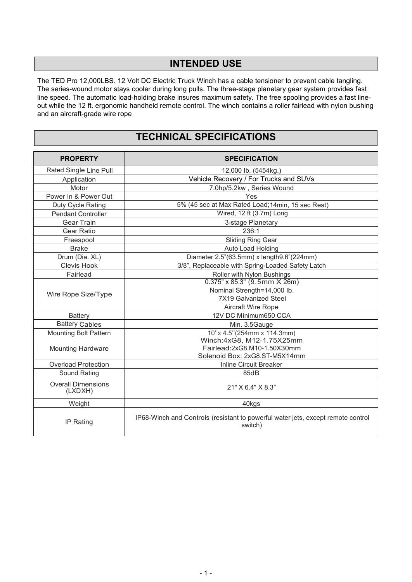## **INTENDED USE**

The TED Pro 12,000LBS. 12 Volt DC Electric Truck Winch has a cable tensioner to prevent cable tangling. The series-wound motor stays cooler during long pulls. The three-stage planetary gear system provides fast line speed. The automatic load-holding brake insures maximum safety. The free spooling provides a fast lineout while the 12 ft. ergonomic handheld remote control. The winch contains a roller fairlead with nylon bushing and an aircraft-grade wire rope

## <span id="page-2-0"></span>**TECHNICAL SPECIFICATIONS**

| <b>PROPERTY</b>                      | <b>SPECIFICATION</b>                                                                        |  |
|--------------------------------------|---------------------------------------------------------------------------------------------|--|
| Rated Single Line Pull               | 12,000 lb. (5454kg.)                                                                        |  |
| Application                          | Vehicle Recovery / For Trucks and SUVs                                                      |  |
| Motor                                | 7.0hp/5.2kw, Series Wound                                                                   |  |
| Power In & Power Out                 | Yes                                                                                         |  |
| Duty Cycle Rating                    | 5% (45 sec at Max Rated Load; 14min, 15 sec Rest)                                           |  |
| <b>Pendant Controller</b>            | Wired, 12 ft (3.7m) Long                                                                    |  |
| Gear Train                           | 3-stage Planetary                                                                           |  |
| Gear Ratio                           | 236:1                                                                                       |  |
| Freespool                            | <b>Sliding Ring Gear</b>                                                                    |  |
| <b>Brake</b>                         | Auto Load Holding                                                                           |  |
| Drum (Dia. XL)                       | Diameter 2.5"(63.5mm) x length9.6"(224mm)                                                   |  |
| <b>Clevis Hook</b>                   | 3/8", Replaceable with Spring-Loaded Safety Latch                                           |  |
| Fairlead                             | Roller with Nylon Bushings                                                                  |  |
| Wire Rope Size/Type                  | $0.375" \times 85.3"$ (9.5mm $\times$ 26m)                                                  |  |
|                                      | Nominal Strength=14,000 lb.                                                                 |  |
|                                      | <b>7X19 Galvanized Steel</b>                                                                |  |
|                                      | Aircraft Wire Rope                                                                          |  |
| <b>Battery</b>                       | 12V DC Minimum650 CCA                                                                       |  |
| <b>Battery Cables</b>                | Min. 3.5Gauge                                                                               |  |
| <b>Mounting Bolt Pattern</b>         | 10"x 4.5"(254mm x 114.3mm)                                                                  |  |
|                                      | Winch:4xG8, M12-1.75X25mm                                                                   |  |
| <b>Mounting Hardware</b>             | Fairlead:2xG8.M10-1.50X30mm                                                                 |  |
|                                      | Solenoid Box: 2xG8.ST-M5X14mm                                                               |  |
| <b>Overload Protection</b>           | <b>Inline Circuit Breaker</b>                                                               |  |
| Sound Rating                         | 85dB                                                                                        |  |
| <b>Overall Dimensions</b><br>(LXDXH) | 21" X 6.4" X 8.3"                                                                           |  |
| Weight                               | 40kgs                                                                                       |  |
| IP Rating                            | IP68-Winch and Controls (resistant to powerful water jets, except remote control<br>switch) |  |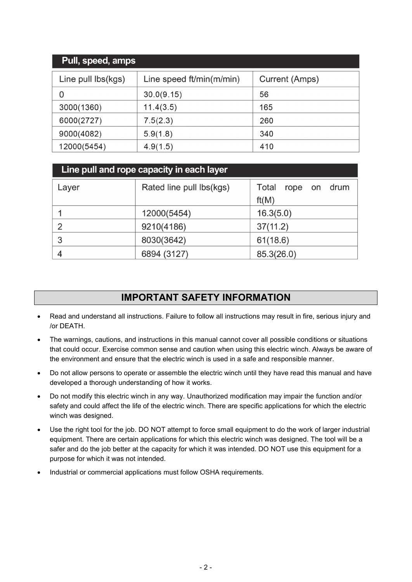| Pull, speed, amps  |                          |                |
|--------------------|--------------------------|----------------|
| Line pull lbs(kgs) | Line speed ft/min(m/min) | Current (Amps) |
| O                  | 30.0(9.15)               | 56             |
| 3000(1360)         | 11.4(3.5)                | 165            |
| 6000(2727)         | 7.5(2.3)                 | 260            |
| 9000(4082)         | 5.9(1.8)                 | 340            |
| 12000(5454)        | 4.9(1.5)                 | 410            |

|       | Line pull and rope capacity in each layer |                                   |
|-------|-------------------------------------------|-----------------------------------|
| Layer | Rated line pull lbs(kgs)                  | Total<br>drum<br>rope on<br>ft(M) |
|       | 12000(5454)                               | 16.3(5.0)                         |
| 2     | 9210(4186)                                | 37(11.2)                          |
| 3     | 8030(3642)                                | 61(18.6)                          |
|       | 6894 (3127)                               | 85.3(26.0)                        |

## <span id="page-3-0"></span>**IMPORTANT SAFETY INFORMATION**

- Read and understand all instructions. Failure to follow all instructions may result in fire, serious injury and /or DEATH.
- The warnings, cautions, and instructions in this manual cannot cover all possible conditions or situations that could occur. Exercise common sense and caution when using this electric winch. Always be aware of the environment and ensure that the electric winch is used in a safe and responsible manner.
- Do not allow persons to operate or assemble the electric winch until they have read this manual and have developed a thorough understanding of how it works.
- Do not modify this electric winch in any way.Unauthorized modification may impair the function and/or safety and could affect the life of the electric winch. There are specific applications for which the electric winch was designed.
- Use the right tool for the job. DO NOT attempt to force small equipment to do the work of larger industrial equipment. There are certain applications for which this electric winch was designed. The tool will be a safer and do the job better at the capacity for which it was intended. DO NOT use this equipment for a purpose for which it was not intended.
- Industrial or commercial applications must follow OSHA requirements.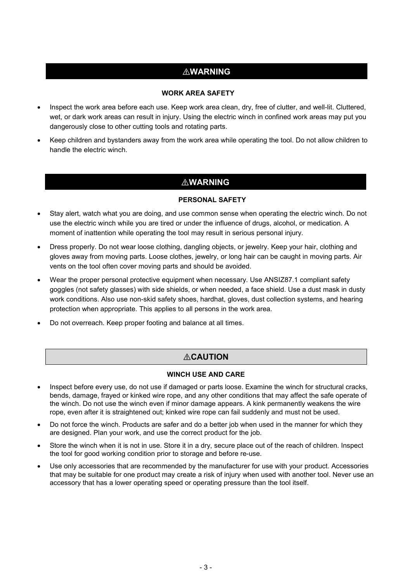## ⚠**WARNING**

#### **WORK AREA SAFETY**

- Inspect the work area before each use. Keep work area clean, dry, free of clutter, and well-lit. Cluttered, wet, or dark work areas can result in injury. Using the electric winch in confined work areas may put you dangerously close to other cutting tools and rotating parts.
- Keep children and bystanders away from the work area while operating the tool. Do not allow children to handle the electric winch.

#### ⚠**WARNING**

#### **PERSONAL SAFETY**

- Stay alert, watch what you are doing, and use common sense when operating the electric winch. Do not use the electric winch while you are tired or under the influence of drugs, alcohol, or medication. A moment of inattention while operating the tool may result in serious personal injury.
- Dress properly. Do not wear loose clothing, dangling objects, or jewelry. Keep your hair, clothing and gloves away from moving parts. Loose clothes, jewelry, or long hair can be caught in moving parts. Air vents on the tool often cover moving parts and should be avoided.
- Wear the proper personal protective equipment when necessary. Use ANSIZ87.1 compliant safety goggles (not safety glasses) with side shields, or when needed, a face shield. Use a dust mask in dusty work conditions. Also use non-skid safety shoes, hardhat, gloves, dust collection systems, and hearing protection when appropriate. This applies to all persons in the work area.
- Do not overreach. Keep proper footing and balance at all times.

#### ⚠**CAUTION**

#### **WINCH USE AND CARE**

- Inspect before every use, do not use if damaged or parts loose. Examine the winch forstructural cracks, bends, damage, frayed or kinked wire rope, and any other conditions that may affect the safe operate of the winch. Do not use the winch even if minor damage appears. A kink permanently weakens the wire rope, even after it is straightened out; kinked wire rope can fail suddenly and must not be used.
- Do not force the winch. Products are safer and do a better job when used in the manner for which they are designed. Plan your work, and use the correct product for the job.
- Store the winch when it is not in use. Store it in a dry, secure place out of the reach of children. Inspect the tool for good working condition prior to storage and before re-use.
- Use only accessories that are recommended by the manufacturer for use with your product. Accessories that may be suitable for one product may create a risk of injury when used with another tool. Never use an accessory that has a lower operating speed or operating pressure than the tool itself.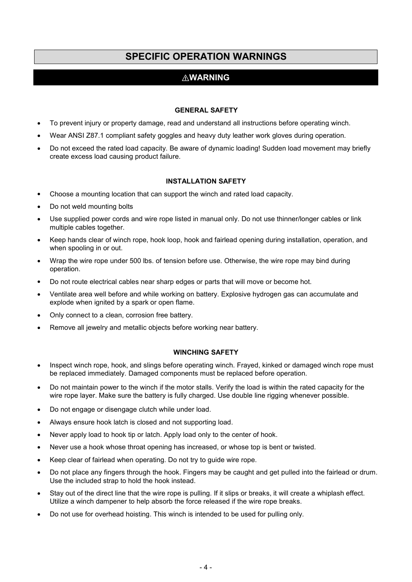## <span id="page-5-0"></span>**SPECIFIC OPERATION WARNINGS**

## ⚠**WARNING**

#### **GENERAL SAFETY**

- To prevent injury or property damage, read and understand all instructions before operating winch.
- Wear ANSI Z87.1 compliant safety goggles and heavy duty leather work gloves during operation.
- Do not exceed the rated load capacity. Be aware of dynamic loading! Sudden load movement may briefly create excess load causing product failure.

#### **INSTALLATION SAFETY**

- Choose a mounting location that can support the winch and rated load capacity.
- Do not weld mounting bolts
- Use supplied power cords and wire rope listed in manual only. Do not use thinner/longer cables or link multiple cables together.
- Keep hands clear of winch rope, hook loop, hook and fairlead opening during installation, operation, and when spooling in or out.
- Wrap the wire rope under 500 lbs. of tension before use. Otherwise, the wire rope may bind during operation.
- Do not route electrical cables near sharp edges or parts that will move or become hot.
- Ventilate area well before and while working on battery. Explosive hydrogen gas can accumulate and explode when ignited by a spark or open flame.
- Only connect to a clean, corrosion free battery.
- Remove all jewelry and metallic objects before working near battery.

#### **WINCHING SAFETY**

- Inspect winch rope, hook, and slings before operating winch. Frayed, kinked or damaged winch rope must be replaced immediately. Damaged components must be replaced before operation.
- Do not maintain power to the winch if the motor stalls. Verify the load is within the rated capacity for the wire rope layer. Make sure the battery is fully charged. Use double line rigging whenever possible.
- Do not engage or disengage clutch while under load.
- Always ensure hook latch is closed and not supporting load.
- Never apply load to hook tip or latch. Apply load only to the center of hook.
- Never use a hook whose throat opening has increased, or whose top is bent or twisted.
- Keep clear of fairlead when operating. Do not try to guide wire rope.
- Do not place any fingers through the hook. Fingers may be caught and get pulled into the fairlead or drum. Use the included strap to hold the hook instead.
- Stay out of the direct line that the wire rope is pulling. If it slips or breaks, it will create a whiplash effect. Utilize a winch dampener to help absorb the force released if the wire rope breaks.
- Do not use for overhead hoisting. This winch is intended to be used for pulling only.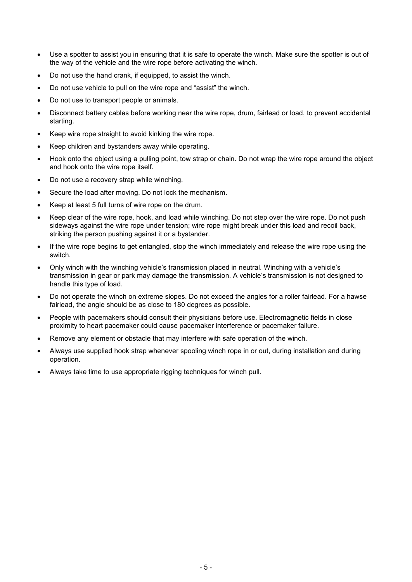- Use a spotter to assist you in ensuring that it is safe to operate the winch. Make sure the spotter is out of the way of the vehicle and the wire rope before activating the winch.
- Do not use the hand crank, if equipped, to assist the winch.
- Do not use vehicle to pull on the wire rope and "assist" the winch.
- Do not use to transport people or animals.
- Disconnect battery cables before working near the wire rope, drum, fairlead or load, to prevent accidental starting.
- Keep wire rope straight to avoid kinking the wire rope.
- Keep children and bystanders away while operating.
- Hook onto the object using a pulling point, tow strap or chain. Do not wrap the wire rope around the object and hook onto the wire rope itself.
- Do not use a recovery strap while winching.
- Secure the load after moving. Do not lock the mechanism.
- Keep at least 5 full turns of wire rope on the drum.
- Keep clear of the wire rope, hook, and load while winching. Do not step over the wire rope. Do not push sideways against the wire rope under tension; wire rope might break under this load and recoil back, striking the person pushing against it or a bystander.
- If the wire rope begins to get entangled, stop the winch immediately and release the wire rope using the switch.
- Only winch with the winching vehicle's transmission placed in neutral. Winching with a vehicle's transmission in gear or park may damage the transmission. A vehicle's transmission is not designed to handle this type of load.
- Do not operate the winch on extreme slopes. Do not exceed the angles for a roller fairlead. For a hawse fairlead, the angle should be as close to 180 degrees as possible.
- People with pacemakers should consult their physicians before use. Electromagnetic fields in close proximity to heart pacemaker could cause pacemaker interference or pacemaker failure.
- Remove any element or obstacle that may interfere with safe operation of the winch.
- Always use supplied hook strap whenever spooling winch rope in or out, during installation and during operation.
- Always take time to use appropriate rigging techniques for winch pull.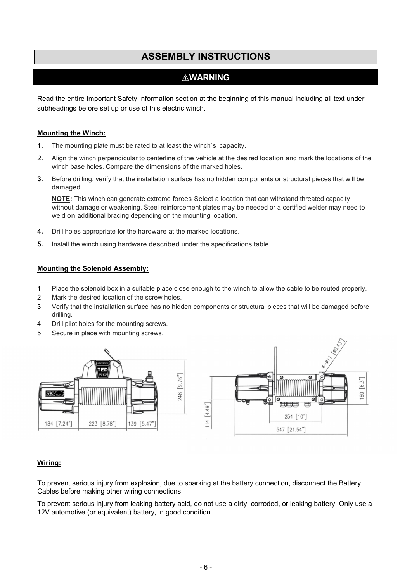## <span id="page-7-0"></span>**ASSEMBLY INSTRUCTIONS**

#### ⚠**WARNING**

Read the entire Important Safety Information section at the beginning of this manual including all text under subheadings before set up or use of this electric winch.

#### **Mounting the Winch:**

- **1.** The mounting plate must be rated to at least the winch's capacity.
- 2. Align the winch perpendicular to centerline of the vehicle at the desired location and mark the locations of the winch base holes. Compare the dimensions of the marked holes.
- **3.** Before drilling, verify that the installation surface has no hidden components or structural pieces that will be damaged.

**NOTE:** This winch can generate extreme forces. Select a location that can withstand threated capacity without damage or weakening. Steel reinforcement plates may be needed or a certified welder may need to weld on additional bracing depending on the mounting location.

- **4.** Drill holes appropriate for the hardware at the marked locations.
- **5.** Install the winch using hardware described under the specifications table.

#### **Mounting the Solenoid Assembly:**

- 1. Place the solenoid box in a suitable place close enough to the winch to allow the cable to be routed properly.
- 2. Mark the desired location of the screw holes.
- 3. Verify that the installation surface has no hidden components or structural pieces that will be damaged before drilling.
- 4. Drill pilot holes for the mounting screws.
- 5. Secure in place with mounting screws.



#### **Wiring:**

To prevent serious injury from explosion, due to sparking at the battery connection, disconnect the Battery Cables before making other wiring connections.

To prevent serious injury from leaking battery acid, do not use a dirty, corroded, or leaking battery. Only use a 12V automotive (or equivalent) battery, in good condition.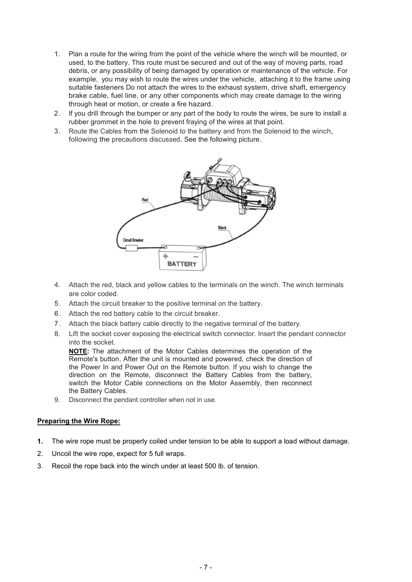- 1. Plan a route for the wiring from the point of the vehicle where the winch will be mounted, or used, to the battery.This route must be secured and out of the way of moving parts, road debris, or any possibility of being damaged by operation or maintenance of the vehicle. For example, you may wish to route the wires under the vehicle, attaching it to the frame using suitable fasteners Do not attach the wires to the exhaust system, drive shaft, emergency brake cable, fuel line, or any other components which may create damage to the wiring through heat or motion, or create a fire hazard.
- 2. If you drill through the bumper or any part of the body to route the wires, be sure to install a rubber grommet in the hole to prevent fraying of the wires at that point.
- 3. Route the Cables from the Solenoid to the battery and from the Solenoid to the winch, following the precautions discussed. See the following picture.



- 4. Attach the red, black and yellow cables to the terminals on the winch. The winch terminals are color coded.
- 5. Attach the circuit breaker to the positive terminal on the battery.6. Attach the red battery cable to the circuit breaker.
- 
- 7. Attach the black battery cable directly to the negative terminal of the battery.
- 8. Lift the socket cover exposing the electrical switch connector. Insert the pendant connector into the socket.

**NOTE:** The attachment of the Motor Cables determines the operation of the Remote's button. After the unit is mounted and powered, check the direction of the Power In and Power Out on the Remote button. If you wish to change the direction on the Remote, disconnect the Battery Cables from the battery, switch the Motor Cable connections on the Motor Assembly, then reconnect the Battery Cables.

9. Disconnect the pendant controller when not in use.

#### **Preparing the Wire Rope:**

- **1.** The wire rope must be properly coiled under tension to be able to support a load without damage.
- 2. Uncoil the wire rope, expect for 5 full wraps.
- 3. Recoil the rope back into the winch under at least 500 lb. of tension.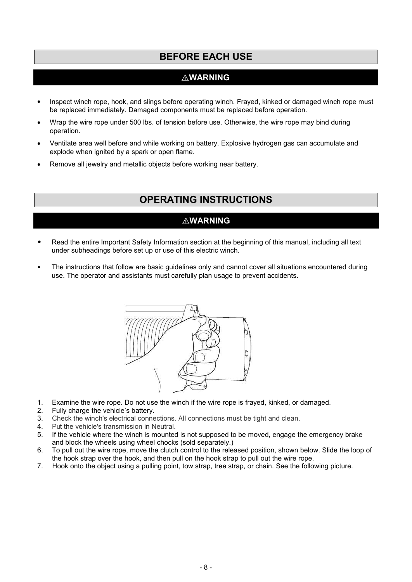## <span id="page-9-0"></span>**BEFORE EACH USE**

## ⚠**WARNING**

- <span id="page-9-1"></span>Inspect winch rope, hook, and slings before operating winch. Frayed, kinked or damaged winch rope must be replaced immediately. Damaged components must be replaced before operation.
- Wrap the wire rope under 500 lbs. of tension before use. Otherwise, the wire rope may bind during operation.
- Ventilate area well before and while working on battery. Explosive hydrogen gas can accumulate and explode when ignited by a spark or open flame.
- Remove all jewelry and metallic objects before working near battery.

## **OPERATING INSTRUCTIONS**

#### ⚠**WARNING**

- Read the entire Important Safety Information section at the beginning of this manual, including all text under subheadings before set up or use of this electric winch.
- The instructions that follow are basic guidelines only and cannot cover all situations encountered during use. The operator and assistants must carefully plan usage to prevent accidents.



- 1. Examine the wire rope. Do not use the winch ifthe wire rope is frayed, kinked, or damaged.
- 2. Fully charge the vehicle's battery.
- 3. Check the winch's electrical connections. AII connections must be tight and clean.
- 4. Put the vehicle's transmission in Neutral.
- 5. If the vehicle where the winch is mounted is not supposed to be moved, engage the emergency brake and block the wheels using wheel chocks (sold separately.)
- 6. To pull out the wire rope, move the clutch control to the released position, shown below. Slide the loop of the hook strap over the hook, and then pull on the hook strap to pull out the wire rope.
- 7. Hook onto the object using a pulling point, tow strap, tree strap, or chain. See the following picture.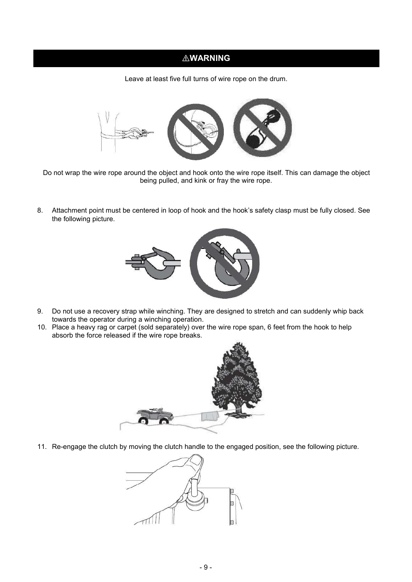## ⚠**WARNING**

Leave at least five full turns of wire rope on the drum.



Do not wrap the wire rope around the object and hook onto the wire rope itself. This can damage the object being pulled, and kink or fray the wire rope.

8. Attachment point must be centered in loop of hook and the hook's safety clasp must be fully closed. See the following picture.



- 9. Do not use a recovery strap while winching. They are designed to stretch and can suddenly whip back towards the operator during a winching operation.
- 10. Place a heavy rag or carpet (sold separately) over the wire rope span, 6 feet from the hook to help absorb the force released if the wire rope breaks.



11. Re-engage the clutch by moving the clutch handle to the engaged position, see the following picture.

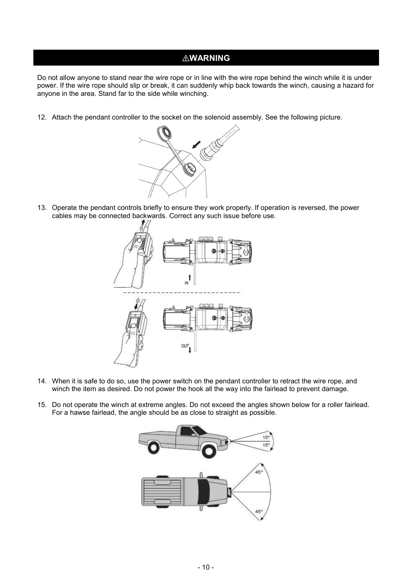#### ⚠**WARNING**

Do not allow anyone to stand near the wire rope or in line with the wire rope behind the winch while it is under power. If the wire rope should slip or break, it can suddenly whip back towards the winch, causing a hazard for anyone in the area. Stand far to the side while winching.

12. Attach the pendant controller to the socket on the solenoid assembly. See the following picture.



13. Operate the pendant controls briefly to ensure they work properly. If operation is reversed, the power cables may be connected backwards.Correct any such issue before use.



- 14. When it is safe to do so, use the power switch on the pendant controller to retract the wire rope, and winch the item as desired. Do not power the hook all the way into the fairlead to prevent damage.
- 15. Do not operate the winch at extreme angles. Do not exceed the angles shown below for a roller fairlead. For a hawse fairlead, the angle should be as close to straight as possible.

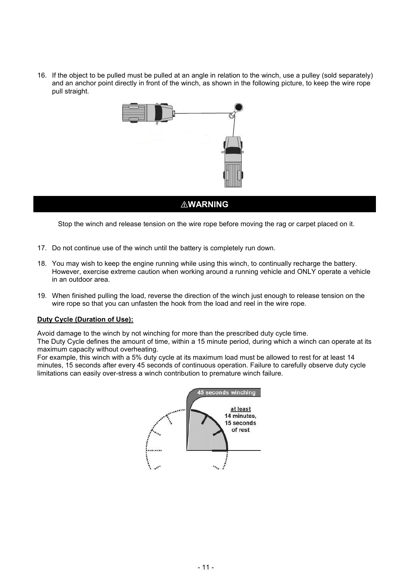16. If the object to be pulled must be pulled at an angle in relation to the winch, use a pulley (sold separately) and an anchor point directly in front of the winch, as shown in the following picture, to keep the wire rope pull straight.



#### ⚠**WARNING**

Stop the winch and release tension on the wire rope before moving the rag or carpet placed on it.

- 17. Do not continue use of the winch until the battery is completely run down.
- 18. You may wish to keep the engine running while using this winch, to continually recharge the battery.<br>However, exercise extreme caution when working around a running vehicle and ONLY operate a vehicle in an outdoor area.
- 19. When finished pulling the load, reverse the direction of the winch just enough to release tension on the wire rope so that you can unfasten the hook from the load and reel in the wire rope.

#### **Duty Cycle (Duration of Use):**

Avoid damage to the winch by not winching for more than the prescribed duty cycle time.

The Duty Cycle defines the amount of time, within a 15 minute period, during which a winch can operate at its maximum capacity without overheating.

For example, this winch with a 5% duty cycle at its maximum load must be allowed to rest for at least 14 minutes, 15 seconds after every 45 seconds of continuous operation. Failure to carefully observe duty cycle limitations can easily over-stress a winch contribution to premature winch failure.

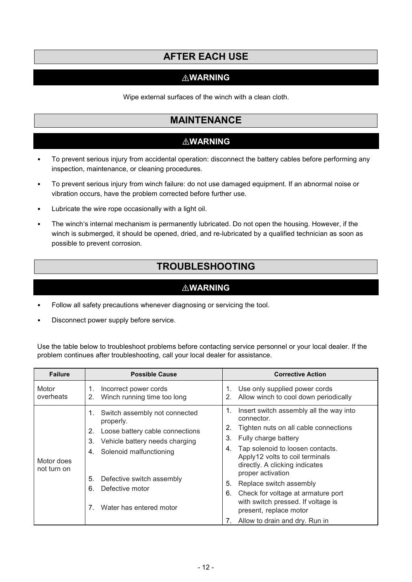## <span id="page-13-0"></span>**AFTER EACH USE**

#### ⚠**WARNING**

Wipe external surfaces of the winch with a clean cloth.

## <span id="page-13-1"></span>**MAINTENANCE**

#### ⚠**WARNING**

- To prevent serious injury from accidental operation: disconnect the battery cables before performing any inspection, maintenance, or cleaning procedures.
- To prevent serious injury from winch failure: do not use damaged equipment.If an abnormal noise or vibration occurs, have the problem corrected before further use.
- Lubricate the wire rope occasionally with a light oil.
- The winch's internal mechanism is permanently lubricated. Do not open the housing. However, if the winch is submerged, it should be opened, dried, and re-lubricated by a qualified technician as soon as possible to prevent corrosion.

## <span id="page-13-2"></span>**TROUBLESHOOTING**

#### ⚠**WARNING**

- Follow all safety precautions whenever diagnosing or servicing the tool.
- Disconnect power supply before service.

Use the table below to troubleshoot problems before contacting service personnel or your local dealer. If the problem continues after troubleshooting, call your local dealer for assistance.

| <b>Failure</b>            | <b>Possible Cause</b>                                                                                                                                                                                                                                     | <b>Corrective Action</b>                                                                                                                                                                                                                                                                                                                                                                                                                                    |
|---------------------------|-----------------------------------------------------------------------------------------------------------------------------------------------------------------------------------------------------------------------------------------------------------|-------------------------------------------------------------------------------------------------------------------------------------------------------------------------------------------------------------------------------------------------------------------------------------------------------------------------------------------------------------------------------------------------------------------------------------------------------------|
| Motor<br>overheats        | Incorrect power cords<br>1.<br>Winch running time too long<br>2.                                                                                                                                                                                          | Use only supplied power cords<br>Allow winch to cool down periodically                                                                                                                                                                                                                                                                                                                                                                                      |
| Motor does<br>not turn on | Switch assembly not connected<br>1.<br>properly.<br>Loose battery cable connections<br>2.<br>Vehicle battery needs charging<br>3.<br>Solenoid malfunctioning<br>4.<br>Defective switch assembly<br>5.<br>Defective motor<br>6.<br>Water has entered motor | Insert switch assembly all the way into<br>1.<br>connector.<br>Tighten nuts on all cable connections<br>2.<br>Fully charge battery<br>3.<br>Tap solenoid to loosen contacts.<br>4.<br>Apply12 volts to coil terminals<br>directly. A clicking indicates<br>proper activation<br>Replace switch assembly<br>5.<br>Check for voltage at armature port<br>6.<br>with switch pressed. If voltage is<br>present, replace motor<br>Allow to drain and dry. Run in |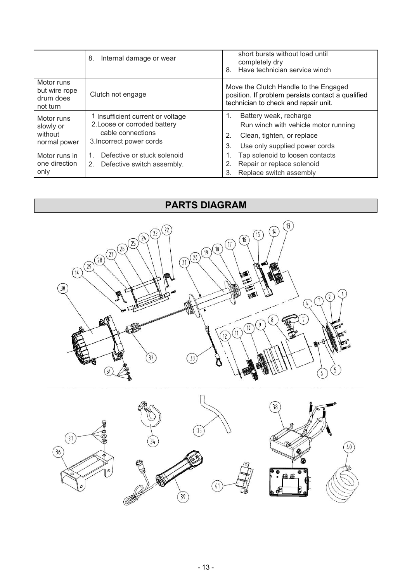|                                                      | 8.<br>Internal damage or wear                                                                                      | short bursts without load until<br>completely dry<br>Have technician service winch<br>8.                                                        |
|------------------------------------------------------|--------------------------------------------------------------------------------------------------------------------|-------------------------------------------------------------------------------------------------------------------------------------------------|
| Motor runs<br>but wire rope<br>drum does<br>not turn | Clutch not engage                                                                                                  | Move the Clutch Handle to the Engaged<br>position. If problem persists contact a qualified<br>technician to check and repair unit.              |
| Motor runs<br>slowly or<br>without<br>normal power   | 1 Insufficient current or voltage<br>2. Loose or corroded battery<br>cable connections<br>3. Incorrect power cords | Battery weak, recharge<br>1.<br>Run winch with vehicle motor running<br>Clean, tighten, or replace<br>2.<br>Use only supplied power cords<br>3. |
| Motor runs in<br>one direction<br>only               | Defective or stuck solenoid<br>Defective switch assembly.<br>2.                                                    | Tap solenoid to loosen contacts<br>Repair or replace solenoid<br>Replace switch assembly<br>3.                                                  |

## <span id="page-14-0"></span>**PARTS DIAGRAM**

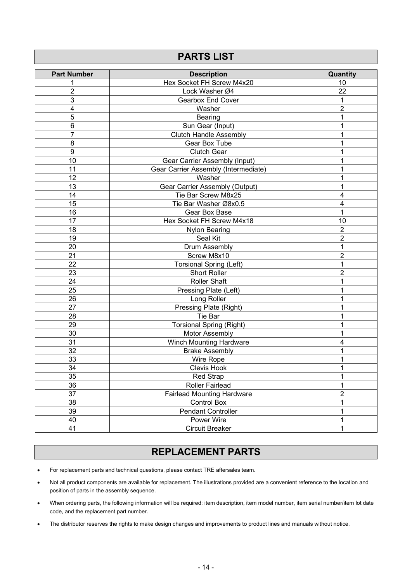#### **Part Number Description Quantity** 1 **1** Hex Socket FH Screw M4x20 **10** 10 2 **Lock Washer Ø4** 22 **3 Gearbox End Cover 1 1** 4 Washer 2 5 Bearing 1 6 Sun Gear (Input) 1 1 **7 Clutch Handle Assembly** 1 8 Box Tube 1 Gear Box Tube 1 and 2008 9 Clutch Gear 1 10 **Gear Carrier Assembly (Input)** 1 11 Gear Carrier Assembly (Intermediate) 12<br>12 Masher Masher 1 12 Nasher News 2012 1 13 Gear Carrier Assembly (Output) 1<br>14 Tie Bar Screw M8x25 4 14 **Tie Bar Screw M8x25** 15 Tie Bar Washer Ø8x0.5 4 16 Gear Box Base 1 and 1 and 1 and 1 and 1 and 1 and 1 and 1 and 1 and 1 and 1 and 1 and 1 and 1 and 1 and 1 and 1 and 1 and 1 and 1 and 1 and 1 and 1 and 1 and 1 and 1 and 1 and 1 and 1 and 1 and 1 and 1 and 1 and 1 and 1 17 **Hex Socket FH Screw M4x18** 10 18 Nylon Bearing 2 19 Seal Kit 2 end of the United States of the United States of the United States of the States of the States of the States of the States of the States of the States of the States of the States of the States of the States of the States o 21 Screw M8x10 er and the control of the control of the control of the control of the control of the control of the control of the control of the control of the control of the control of the control of the control of the control of the c 23 Short Roller 2 24 Roller Shaft 1 July 2014 1 Shaft 1 July 2014 1 Shaft 1 July 2014 1 Shaft 1 July 2014 1 Shaft 1 Shaft 1 Shaft 1 25 **Pressing Plate (Left)** 1 26 Long Roller 1 27 **Pressing Plate (Right)** 1 28 Tie Bar 1 29 **Torsional Spring (Right)** 1 30 Motor Assembly 1 31 Ninch Mounting Hardware **4** American Mounting Hardware 2011 12:00 12:00 12:00 32 Brake Assembly 1 33 Wire Rope 1 34 and 1 clevis Hook 1 and 1 and 1 and 1 and 1 and 1 and 1 and 1 and 1 and 1 and 1 and 1 and 1 and 1 and 1 and 1 35 Red Strap 1 36 Roller Fairlead 1 and 1 1 37 **Fairlead Mounting Hardware Properties 12** 2 38 Control Box 2009 (1991) 2009 (1991) 2009 (1991) 2009 (1991) 2009 (1991) 2009 (1 39 and 1 Pendant Controller 1 and 1 and 1 and 1 and 1 and 1 and 1 and 1 and 1 and 1 and 1 and 1 and 1 and 1 and 1 40 Power Wire 1 **41 Circuit Breaker 1 Circuit Breaker** 1

<span id="page-15-0"></span>**PARTS LIST**

## <span id="page-15-1"></span>**REPLACEMENT PARTS**

- For replacement parts and technical questions, please contact TRE aftersales team.
- Not all product components are available for replacement. The illustrations provided are a convenient reference to the location and position of parts in the assembly sequence.
- When ordering parts, the following information will be required: item description, item model number, item serial number/item lot date code, and the replacement part number.
- The distributor reserves the rights to make design changes and improvements to product lines and manuals without notice.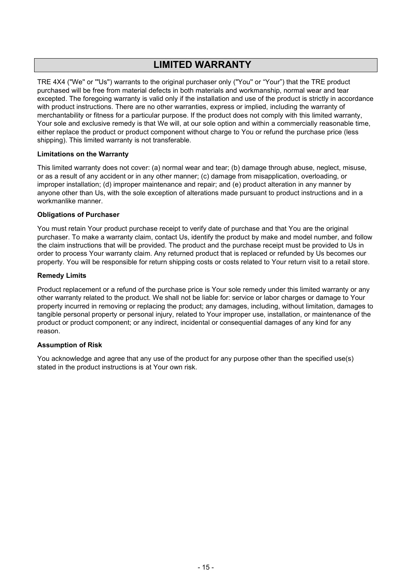## <span id="page-16-0"></span>**LIMITED WARRANTY**

TRE 4X4("We'' or '"Us'') warrants to the original purchaser only ("You'' or "Your") that the TRE product purchased will be free from material defects in both materials and workmanship, normal wear and tear excepted. The foregoing warranty is valid only if the installation and use of the product is strictly in accordance with product instructions. There are no other warranties, express or implied, including the warranty of merchantability or fitness for a particular purpose. If the product does not comply with this limited warranty, Your sole and exclusive remedy is that We will, at our sole option and within a commercially reasonable time, either replace the product or product component without charge to You or refund the purchase price (less shipping). This limited warranty is not transferable.

#### **Limitations on the Warranty**

This limited warranty does not cover: (a) normal wear and tear; (b) damage through abuse, neglect, misuse, or as a result of any accident or in any other manner; (c) damage from misapplication, overloading, or improper installation; (d) improper maintenance and repair; and (e) product alteration in any manner by anyone other than Us, with the sole exception of alterations made pursuant to product instructions and in a workmanlike manner.

#### **Obligations of Purchaser**

You must retain Your product purchase receipt to verify date of purchase and that You are the original purchaser. To make a warranty claim, contact Us, identify the product by make and model number, and follow the claim instructions that will be provided. The product and the purchase receipt must be provided to Us in order to process Your warranty claim. Any returned product that is replaced or refunded by Us becomes our property. You will be responsible for return shipping costs or costs related to Your return visit to a retail store.

#### **Remedy Limits**

Product replacement or a refund of the purchase price is Your sole remedy under this limited warranty or any other warranty related to the product. We shall not be liable for: service or labor charges or damage to Your property incurred in removing or replacing the product; any damages, including, without limitation, damages to tangible personal property or personalinjury, related to Your improper use, installation, or maintenance of the product or product component; or any indirect, incidental or consequential damages of any kind for any reason.

#### **Assumption of Risk**

You acknowledge and agree that any use of the product for any purpose other than the specified use(s) stated in the product instructions is at Your own risk.